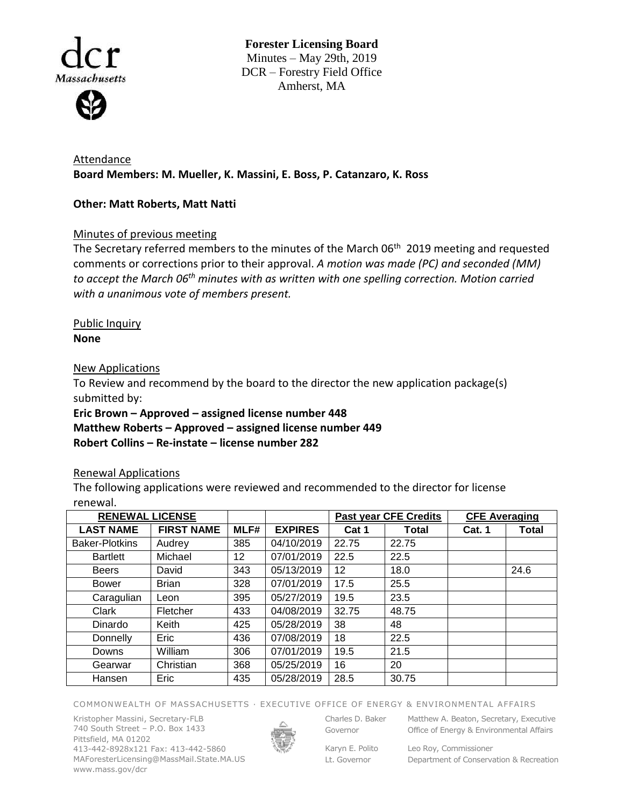

**Forester Licensing Board**  Minutes – May 29th, 2019 DCR – Forestry Field Office Amherst, MA

Attendance **Board Members: M. Mueller, K. Massini, E. Boss, P. Catanzaro, K. Ross**

## **Other: Matt Roberts, Matt Natti**

# Minutes of previous meeting

The Secretary referred members to the minutes of the March 06<sup>th</sup> 2019 meeting and requested comments or corrections prior to their approval. *A motion was made (PC) and seconded (MM) to accept the March 06th minutes with as written with one spelling correction. Motion carried with a unanimous vote of members present.* 

### Public Inquiry **None**

### New Applications

To Review and recommend by the board to the director the new application package(s) submitted by:

**Eric Brown – Approved – assigned license number 448 Matthew Roberts – Approved – assigned license number 449 Robert Collins – Re-instate – license number 282**

## Renewal Applications

The following applications were reviewed and recommended to the director for license renewal.

| <b>RENEWAL LICENSE</b> |                   |      |                | <b>Past year CFE Credits</b> |       | <b>CFE Averaging</b> |       |
|------------------------|-------------------|------|----------------|------------------------------|-------|----------------------|-------|
| <b>LAST NAME</b>       | <b>FIRST NAME</b> | MLF# | <b>EXPIRES</b> | Cat 1                        | Total | Cat. 1               | Total |
| <b>Baker-Plotkins</b>  | Audrey            | 385  | 04/10/2019     | 22.75                        | 22.75 |                      |       |
| <b>Bartlett</b>        | Michael           | 12   | 07/01/2019     | 22.5                         | 22.5  |                      |       |
| <b>Beers</b>           | David             | 343  | 05/13/2019     | 12                           | 18.0  |                      | 24.6  |
| <b>Bower</b>           | <b>Brian</b>      | 328  | 07/01/2019     | 17.5                         | 25.5  |                      |       |
| Caragulian             | Leon              | 395  | 05/27/2019     | 19.5                         | 23.5  |                      |       |
| Clark                  | Fletcher          | 433  | 04/08/2019     | 32.75                        | 48.75 |                      |       |
| Dinardo                | Keith             | 425  | 05/28/2019     | 38                           | 48    |                      |       |
| Donnelly               | Eric              | 436  | 07/08/2019     | 18                           | 22.5  |                      |       |
| Downs                  | William           | 306  | 07/01/2019     | 19.5                         | 21.5  |                      |       |
| Gearwar                | Christian         | 368  | 05/25/2019     | 16                           | 20    |                      |       |
| Hansen                 | Eric              | 435  | 05/28/2019     | 28.5                         | 30.75 |                      |       |

#### COMMONWEALTH OF MASSACHUSETTS · EXECUTIVE OFFICE OF ENERGY & ENVIRONMENTAL AFFAIRS

Kristopher Massini, Secretary-FLB 740 South Street – P.O. Box 1433 Pittsfield, MA 01202 413-442-8928x121 Fax: 413-442-5860 MAForesterLicensing@MassMail.State.MA.US www.mass.gov/dcr



Governor

Charles D. Baker Matthew A. Beaton, Secretary, Executive

Karyn E. Polito Lt. Governor

Office of Energy & Environmental Affairs

Leo Roy, Commissioner Department of Conservation & Recreation